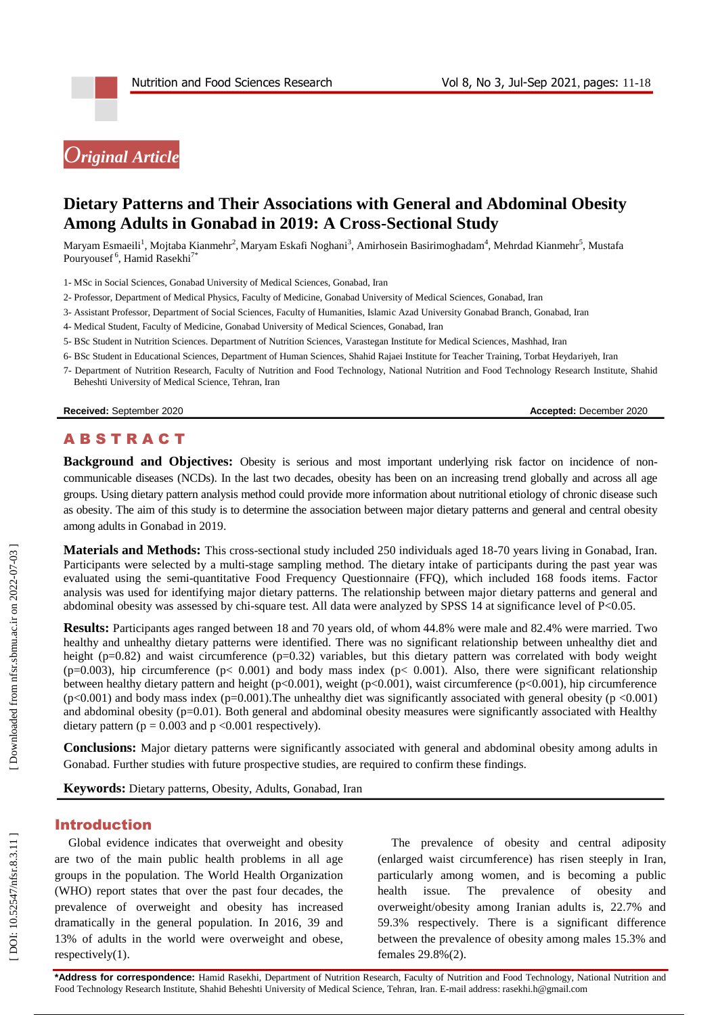# *Original Article*

# **Dietary Patterns and Their Associations with General and Abdominal Obesity Among Adults in Gonabad in 2019: A Cross -Sectional Study**

Maryam Esmaeili<sup>1</sup>, Mojtaba Kianmehr<sup>2</sup>, Maryam Eskafi Noghani<sup>3</sup>, Amirhosein Basirimoghadam<sup>4</sup>, Mehrdad Kianmehr<sup>5</sup>, Mustafa Pouryousef<sup>6</sup>, Hamid Rasekhi<sup>7\*</sup>

1 - MSc in Social Sciences, Gonabad University of Medical Sciences, Gonabad, Iran

- 2 Professor, Department of Medical Physics, Faculty of Medicine, Gonabad University of Medical Sciences, Gonabad, Iran
- 3 Assistant Professor, Department of Social Sciences, Faculty of Humanities, Islamic Azad University Gonabad Branch, Gonabad, Iran
- 4 Medical Student, Faculty of Medicine, Gonabad University of Medical Sciences, Gonabad, Iran
- 5 BSc Student in Nutrition Sciences. Department of Nutrition Sciences, Varastegan Institute for Medical Sciences, Mashhad, Iran
- 6 BSc Student in Educational Sciences, Department of Human Sciences, Shahid Rajaei Institute for Teacher Training, Torbat Heydariyeh, Iran
- 7 Department of Nutrition Research, Faculty of Nutrition and Food Technology, National Nutrition and Food Technology Research Institute, Shahid Beheshti University of Medical Science, Tehran, Iran

**Received:** September 2020 **Accepted:** December 2020

# A B S T R A C T

Background and Objectives: Obesity is serious and most important underlying risk factor on incidence of noncommunicable diseases (NCDs). In the last two decades, obesity has been on an increasing trend globally and across all age groups. Using dietary pattern analysis method could provide more information about nutritional etiology of chronic disease such as obesity. The aim of this study is to determine the association between major dietary patterns and general and central obesity among adults in Gonabad in 2019.

Materials and Methods: This cross-sectional study included 250 individuals aged 18-70 years living in Gonabad, Iran. Participants were selected by a multi-stage sampling method. The dietary intake of participants during the past year was evaluated using the semi -quantitative Food Frequency Questionnaire (FFQ), which included 168 foods items. Factor analysis was used for identifying major dietary patterns. The relationship between major dietary patterns and general and abdominal obesity was assessed by chi-square test. All data were analyzed by SPSS 14 at significance level of P<0.05.

**Results:** Participants ages ranged between 18 and 70 years old, of whom 44.8% were male and 82.4% were married. Two healthy and unhealthy dietary patterns were identified. There was no significant relationship between unhealthy diet and height ( $p=0.82$ ) and waist circumference ( $p=0.32$ ) variables, but this dietary pattern was correlated with body weight (p=0.003), hip circumference (p< 0.001) and body mass index (p< 0.001). Also, there were significant relationship between healthy dietary pattern and height (p<0.001), weight (p<0.001), waist circumference (p<0.001), hip circumference  $(p<0.001)$  and body mass index  $(p=0.001)$ . The unhealthy diet was significantly associated with general obesity  $(p < 0.001)$ and abdominal obesity (p=0.01). Both general and abdominal obesity measures were significantly associated with Healthy dietary pattern ( $p = 0.003$  and  $p < 0.001$  respectively).

**Conclusions:** Major dietary patterns were significantly associated with general and abdominal obesity among adults in Gonabad. Further studies with future prospective studies, are required to confirm these findings.

**Keywords:** Dietary patterns, Obesity, Adults, Gonabad, Iran

## Introduction

Global evidence indicates that overweight and obesity are two of the main public health problems in all age groups in the population. The World Health Organization (WHO) report states that over the past four decades, the prevalence of overweight and obesity has increased dramatically in the general population. In 2016, 39 and 13% of adults in the world were overweight and obese, respectively(1).

The prevalence of obesity and central adiposity (enlarged waist circumference) has risen steeply in Iran, particularly among women, and is becoming a public health issue. The prevalence of obesity and overweight/obesity among Iranian adults is, 22.7% and 59.3% respectively. There is a significant difference between the prevalence of obesity among males 15.3% and females 29.8%(2) .

**\*Address for correspondence:** Hamid Rasekhi, Department of Nutrition Research, Faculty of Nutrition and Food Technology, National Nutrition and Food Technology Research Institute, Shahid Beheshti University of Medical Science, Tehran, Iran. E-mail address: rasekhi.h@gmail.com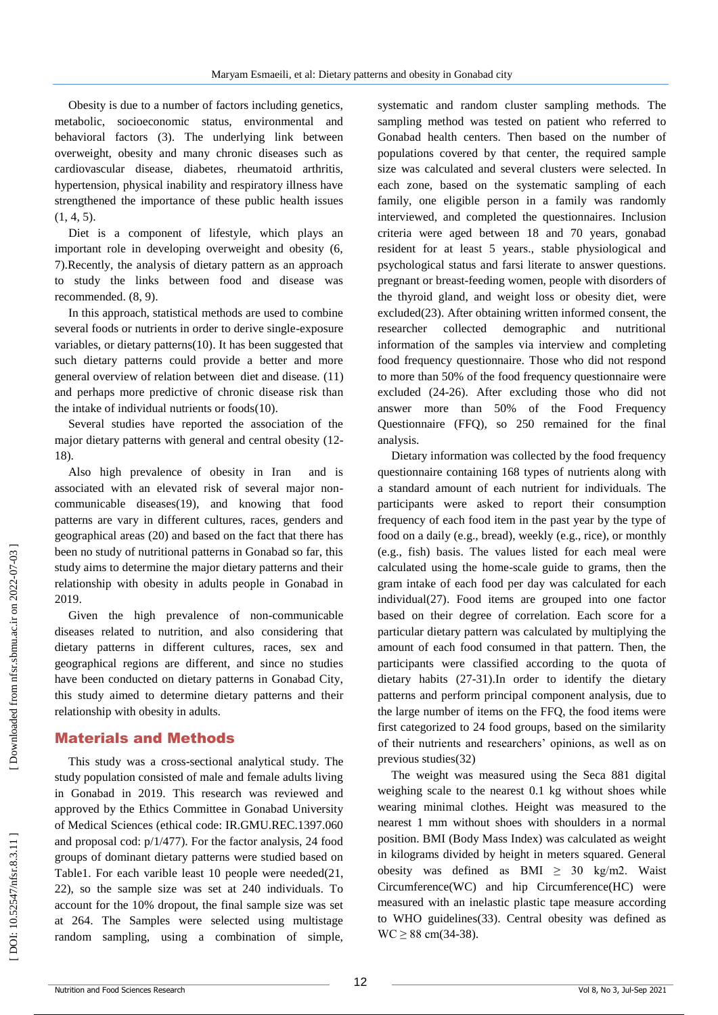Obesity is due to a number of factors including genetics, metabolic, socioeconomic status, environmental and behavioral factors (3). The underlying link between overweight, obesity and many chronic diseases such as cardiovascular disease, diabetes, rheumatoid arthritis, hypertension, physical inability and respiratory illness have strengthened the importance of these public health issues  $(1, 4, 5)$ .

Diet is a component of lifestyle, which plays an important role in developing overweight and obesity (6, 7).Recently, the analysis of dietary pattern as an approach to study the links between food and disease was recommended. (8, 9) .

In this approach, statistical methods are used to combine several foods or nutrients in order to derive single -exposure variables, or dietary patterns(10). It has been suggested that such dietary patterns could provide a better and more general overview of relation between diet and disease. (11) and perhaps more predictive of chronic disease risk than the intake of individual nutrients or foods(10).

Several studies have reported the association of the major dietary patterns with general and central obesity (12 - 18) .

Also high prevalence of obesity in Iran and is associated with an elevated risk of several major non communicable diseases(19), and knowing that food patterns are vary in different cultures, races, genders and geographical areas (20) and based on the fact that there has been no study of nutritional patterns in Gonabad so far, this study aims to determine the major dietary patterns and their relationship with obesity in adults people in Gonabad in 2019.

Given the high prevalence of non -communicable diseases related to nutrition, and also considering that dietary patterns in different cultures, races, sex and geographical regions are different, and since no studies have been conducted on dietary patterns in Gonabad City, this study aimed to determine dietary patterns and their relationship with obesity in adults.

#### Material s and Methods

This study was a cross -sectional analytical study. The study population consisted of male and female adults living in Gonabad in 2019. This research was reviewed and approved by the Ethics Committee in Gonabad University of Medical Sciences (ethical code: IR.GMU.REC.1397.060 and proposal cod: p/1/477). For the factor analysis, 24 food groups of dominant dietary patterns were studied based on Table1. For each varible least 10 people were needed(21, 22), so the sample size was set at 240 individuals. To account for the 10% dropout, the final sample size was set at 264. The Samples were selected using multistage random sampling, using a combination of simple,

systematic and random cluster sampling methods. The sampling method was tested on patient who referred to Gonabad health centers. Then based on the number of populations covered by that center, the required sample size was calculated and several clusters were selected. In each zone, based on the systematic sampling of each family, one eligible person in a family was randomly interviewed, and completed the questionnaires. Inclusion criteria were aged between 18 and 70 years, gonabad resident for at least 5 years., stable physiological and psychological status and farsi literate to answer questions. pregnant or breast -feeding women, people with disorders of the thyroid gland, and weight loss or obesity diet, were excluded(23). After obtaining written informed consent, the researcher collected demographic and nutritional information of the samples via interview and completing food frequency questionnaire. Those who did not respond to more than 50% of the food frequency questionnaire were excluded (24 -26). After excluding those who did not answer more than 50% of the Food Frequency Questionnaire (FFQ), so 250 remained for the final analysis.

Dietary information was collected by the food frequency questionnaire containing 168 types of nutrients along with a standard amount of each nutrient for individuals. The participants were asked to report their consumption frequency of each food item in the past year by the type of food on a daily (e.g., bread), weekly (e.g., rice), or monthly (e.g., fish) basis. The values listed for each meal were calculated using the home -scale guide to grams, then the gram intake of each food per day was calculated for each individual(27). Food items are grouped into one factor based on their degree of correlation. Each score for a particular dietary pattern was calculated by multiplying the amount of each food consumed in that pattern. Then, the participants were classified according to the quota of dietary habits (27 -31).In order to identify the dietary patterns and perform principal component analysis, due to the large number of items on the FFQ, the food items were first categorized to 24 food groups, based on the similarity of their nutrients and researchers' opinions, as well as on previous studies(32)

The weight was measured using the Seca 881 digital weighing scale to the nearest 0.1 kg without shoes while wearing minimal clothes. Height was measured to the nearest 1 mm without shoes with shoulders in a normal position. BMI (Body Mass Index) was calculated as weight in kilograms divided by height in meters squared. General obesity was defined as BMI  $\geq$  30 kg/m2. Waist Circumference(WC) and hip Circumference(HC) were measured with an inelastic plastic tape measure according to WHO guidelines(33). Central obesity was defined as  $WC \ge 88$  cm(34-38).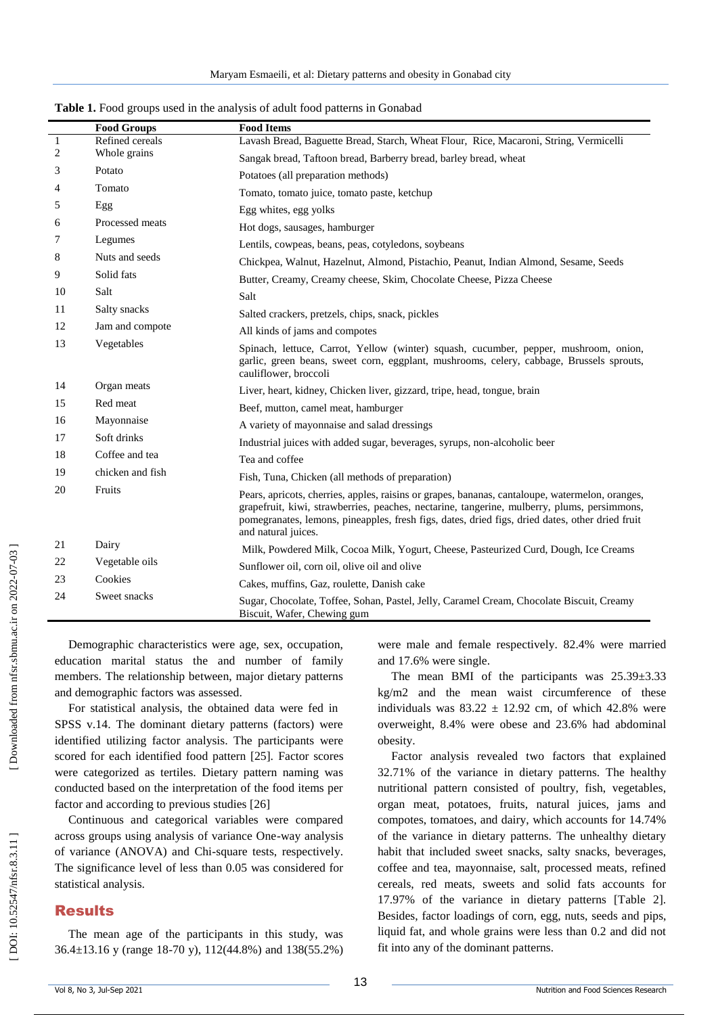|                  | <b>Food Groups</b> | <b>Food Items</b>                                                                                                                                                                                                                                                                                                        |
|------------------|--------------------|--------------------------------------------------------------------------------------------------------------------------------------------------------------------------------------------------------------------------------------------------------------------------------------------------------------------------|
| $\mathbf{1}$     | Refined cereals    | Lavash Bread, Baguette Bread, Starch, Wheat Flour, Rice, Macaroni, String, Vermicelli                                                                                                                                                                                                                                    |
| $\boldsymbol{2}$ | Whole grains       | Sangak bread, Taftoon bread, Barberry bread, barley bread, wheat                                                                                                                                                                                                                                                         |
| 3                | Potato             | Potatoes (all preparation methods)                                                                                                                                                                                                                                                                                       |
| 4                | Tomato             | Tomato, tomato juice, tomato paste, ketchup                                                                                                                                                                                                                                                                              |
| 5                | Egg                | Egg whites, egg yolks                                                                                                                                                                                                                                                                                                    |
| 6                | Processed meats    | Hot dogs, sausages, hamburger                                                                                                                                                                                                                                                                                            |
| 7                | Legumes            | Lentils, cowpeas, beans, peas, cotyledons, soybeans                                                                                                                                                                                                                                                                      |
| 8                | Nuts and seeds     | Chickpea, Walnut, Hazelnut, Almond, Pistachio, Peanut, Indian Almond, Sesame, Seeds                                                                                                                                                                                                                                      |
| 9                | Solid fats         | Butter, Creamy, Creamy cheese, Skim, Chocolate Cheese, Pizza Cheese                                                                                                                                                                                                                                                      |
| 10               | Salt               | Salt                                                                                                                                                                                                                                                                                                                     |
| 11               | Salty snacks       | Salted crackers, pretzels, chips, snack, pickles                                                                                                                                                                                                                                                                         |
| 12               | Jam and compote    | All kinds of jams and compotes                                                                                                                                                                                                                                                                                           |
| 13               | Vegetables         | Spinach, lettuce, Carrot, Yellow (winter) squash, cucumber, pepper, mushroom, onion,<br>garlic, green beans, sweet corn, eggplant, mushrooms, celery, cabbage, Brussels sprouts,<br>cauliflower, broccoli                                                                                                                |
| 14               | Organ meats        | Liver, heart, kidney, Chicken liver, gizzard, tripe, head, tongue, brain                                                                                                                                                                                                                                                 |
| 15               | Red meat           | Beef, mutton, camel meat, hamburger                                                                                                                                                                                                                                                                                      |
| 16               | Mayonnaise         | A variety of mayonnaise and salad dressings                                                                                                                                                                                                                                                                              |
| 17               | Soft drinks        | Industrial juices with added sugar, beverages, syrups, non-alcoholic beer                                                                                                                                                                                                                                                |
| 18               | Coffee and tea     | Tea and coffee                                                                                                                                                                                                                                                                                                           |
| 19               | chicken and fish   | Fish, Tuna, Chicken (all methods of preparation)                                                                                                                                                                                                                                                                         |
| 20               | Fruits             | Pears, apricots, cherries, apples, raisins or grapes, bananas, cantaloupe, watermelon, oranges,<br>grapefruit, kiwi, strawberries, peaches, nectarine, tangerine, mulberry, plums, persimmons,<br>pomegranates, lemons, pineapples, fresh figs, dates, dried figs, dried dates, other dried fruit<br>and natural juices. |
| 21               | Dairy              | Milk, Powdered Milk, Cocoa Milk, Yogurt, Cheese, Pasteurized Curd, Dough, Ice Creams                                                                                                                                                                                                                                     |
| 22               | Vegetable oils     | Sunflower oil, corn oil, olive oil and olive                                                                                                                                                                                                                                                                             |
| 23               | Cookies            | Cakes, muffins, Gaz, roulette, Danish cake                                                                                                                                                                                                                                                                               |
| 24               | Sweet snacks       | Sugar, Chocolate, Toffee, Sohan, Pastel, Jelly, Caramel Cream, Chocolate Biscuit, Creamy<br>Biscuit, Wafer, Chewing gum                                                                                                                                                                                                  |

**Table 1.** Food groups used in the analysis of adult food patterns in Gonabad

Demographic characteristics were age, sex, occupation, education marital status the and number of family members. The relationship between, major dietary patterns and demographic factors was assessed.

For statistical analysis, the obtained data were fed in SPSS v.14. The dominant dietary patterns (factors) were identified utilizing factor analysis. The participants were scored for each identified food pattern [25]. Factor scores were categorized as tertiles. Dietary pattern naming was conducted based on the interpretation of the food items per factor and according to previous studies [26]

Continuous and categorical variables were compared across groups using analysis of variance One -way analysis of variance (ANOVA) and Chi -square tests, respectively. The significance level of less than 0.05 was considered for statistical analysis.

#### Results

The mean age of the participants in this study, was 36.4±13.16 y (range 18 -70 y), 112(44.8%) and 138(55.2%) were male and female respectively. 82.4% were married and 17.6% were single.

The mean BMI of the participants was 25.39±3.33 kg/m2 and the mean waist circumference of these individuals was  $83.22 \pm 12.92$  cm, of which 42.8% were overweight, 8.4% were obese and 23.6% had abdominal obesity.

Factor analysis revealed two factors that explained 32.71% of the variance in dietary patterns. The healthy nutritional pattern consisted of poultry, fish, vegetables, organ meat, potatoes, fruits, natural juices, jams and compotes, tomatoes, and dairy, which accounts for 14.74% of the variance in dietary patterns. The unhealthy dietary habit that included sweet snacks, salty snacks, beverages, coffee and tea, mayonnaise, salt, processed meats, refined cereals, red meats, sweets and solid fats accounts for 17.97% of the variance in dietary patterns [Table 2]. Besides, factor loadings of corn, egg, nuts, seeds and pips, liquid fat, and whole grains were less than 0.2 and did not fit into any of the dominant patterns.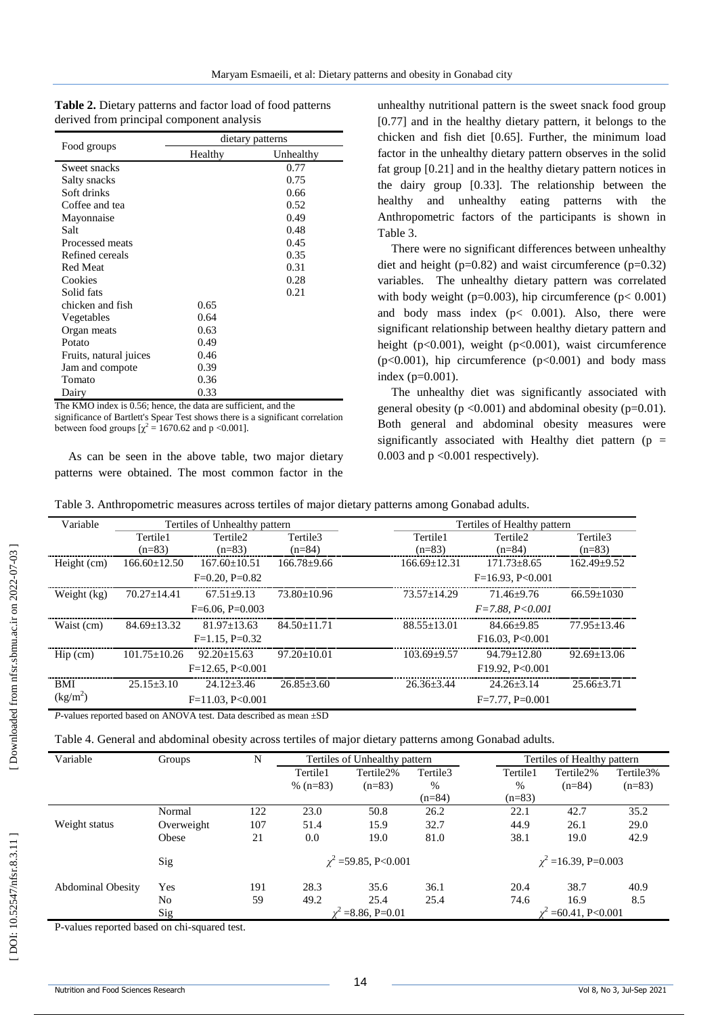| <b>Table 2.</b> Dietary patterns and factor load of food patterns |  |
|-------------------------------------------------------------------|--|
| derived from principal component analysis                         |  |

|                        | dietary patterns |           |  |  |  |
|------------------------|------------------|-----------|--|--|--|
| Food groups            | Healthy          | Unhealthy |  |  |  |
| Sweet snacks           |                  | 0.77      |  |  |  |
| Salty snacks           |                  | 0.75      |  |  |  |
| Soft drinks            |                  | 0.66      |  |  |  |
| Coffee and tea         |                  | 0.52      |  |  |  |
| Mayonnaise             |                  | 0.49      |  |  |  |
| Salt                   |                  | 0.48      |  |  |  |
| Processed meats        |                  | 0.45      |  |  |  |
| Refined cereals        |                  | 0.35      |  |  |  |
| <b>Red Meat</b>        |                  | 0.31      |  |  |  |
| Cookies                |                  | 0.28      |  |  |  |
| Solid fats             |                  | 0.21      |  |  |  |
| chicken and fish       | 0.65             |           |  |  |  |
| Vegetables             | 0.64             |           |  |  |  |
| Organ meats            | 0.63             |           |  |  |  |
| Potato                 | 0.49             |           |  |  |  |
| Fruits, natural juices | 0.46             |           |  |  |  |
| Jam and compote        | 0.39             |           |  |  |  |
| Tomato                 | 0.36             |           |  |  |  |
| Dairy                  | 0.33             |           |  |  |  |

The KMO index is 0.56; hence, the data are sufficient, and the significance of Bartlett's Spear Test shows there is a significant correlation between food groups  $[\chi^2 = 1670.62$  and p <0.001].

As can be seen in the above table, two major dietary patterns were obtained. The most common factor in the

unhealthy nutritional pattern is the sweet snack food group [0.77] and in the healthy dietary pattern, it belongs to the chicken and fish diet [0.65]. Further, the minimum load factor in the unhealthy dietary pattern observes in the solid fat group [0.21] and in the healthy dietary pattern notices in the dairy group [0.33]. The relationship between the healthy and unhealthy eating patterns with the Anthropometric factors of the participants is shown in Table 3.

There were no significant differences between unhealthy diet and height ( $p=0.82$ ) and waist circumference ( $p=0.32$ ) variables. The unhealthy dietary pattern was correlated with body weight (p=0.003), hip circumference (p $< 0.001$ ) and body mass index  $(p< 0.001)$ . Also, there were significant relationship between healthy dietary pattern and height (p<0.001), weight (p<0.001), waist circumference (p<0.001), hip circumference (p<0.001) and body mass index (p=0.001).

The unhealthy diet was significantly associated with general obesity ( $p < 0.001$ ) and abdominal obesity ( $p = 0.01$ ). Both general and abdominal obesity measures were significantly associated with Healthy diet pattern ( $p =$ 0.003 and  $p < 0.001$  respectively).

| Variable                           | Tertiles of Unhealthy pattern |                                                                                |                   |                    | Tertiles of Healthy pattern |                   |  |  |
|------------------------------------|-------------------------------|--------------------------------------------------------------------------------|-------------------|--------------------|-----------------------------|-------------------|--|--|
|                                    | Tertile1                      | Tertile <sub>2</sub>                                                           | Tertile3          | Tertile1           | Tertile2                    | Tertile3          |  |  |
|                                    | $(n=83)$                      | $(n=83)$                                                                       | $(n=84)$          | $(n=83)$           | $(n=84)$                    | $(n=83)$          |  |  |
| Height (cm)                        | $166.60 \pm 12.50$            | $167.60 \pm 10.51$                                                             | $166.78 \pm 9.66$ | $166.69 \pm 12.31$ | $171.73 \pm 8.65$           | $162.49 \pm 9.52$ |  |  |
| $F=0.20$ , $P=0.82$                |                               |                                                                                |                   | $F=16.93, P<0.001$ |                             |                   |  |  |
| Weight (kg)                        | $70.27 \pm 14.41$             | $67.51 + 9.13$                                                                 | $73.80 + 10.96$   | $73.57 + 14.29$    | $71.46 \pm 9.76$            | $66.59 \pm 1030$  |  |  |
|                                    |                               | $F=6.06$ , $P=0.003$                                                           |                   |                    | $F = 7.88, P < 0.001$       |                   |  |  |
| Waist (cm)                         | $84.69 \pm 13.32$             | $81.97 \pm 13.63$                                                              | $84.50 \pm 11.71$ | $88.55 \pm 13.01$  | $84.66 \pm 9.85$            | $77.95 \pm 13.46$ |  |  |
|                                    |                               | $F=1.15$ , $P=0.32$                                                            |                   |                    | F16.03, P<0.001             |                   |  |  |
| $\text{Hip}\left(\text{cm}\right)$ | $101.75 \pm 10.26$            | $92.20 \pm 15.63$                                                              | $97.20 \pm 10.01$ | $103.69 \pm 9.57$  | $94.79 \pm 12.80$           | $92.69 \pm 13.06$ |  |  |
|                                    | $F=12.65, P<0.001$            |                                                                                |                   | F19.92, P<0.001    |                             |                   |  |  |
| <b>BMI</b>                         | $25.15 + 3.10$                | $24.12 + 3.46$                                                                 | $26.85 + 3.60$    | $26.36 \pm 3.44$   | $24.26 + 3.14$              | $25.66 + 3.71$    |  |  |
| (kg/m <sup>2</sup> )               |                               | $F=11.03, P<0.001$                                                             |                   |                    | $F=7.77$ , $P=0.001$        |                   |  |  |
|                                    |                               | <i>P</i> -values reported based on ANOVA test. Data described as mean $\pm SD$ |                   |                    |                             |                   |  |  |

Table 4. General and abdominal obesity across tertiles of major dietary patterns among Gonabad adults.

| Variable                 | Groups     | N   | Tertiles of Unhealthy pattern |           |          | Tertiles of Healthy pattern |           |           |
|--------------------------|------------|-----|-------------------------------|-----------|----------|-----------------------------|-----------|-----------|
|                          |            |     | Tertile1                      | Tertile2% | Tertile3 | Tertile1                    | Tertile2% | Tertile3% |
|                          |            |     | % $(n=83)$                    | $(n=83)$  | %        | %                           | $(n=84)$  | $(n=83)$  |
|                          |            |     |                               |           | $(n=84)$ | $(n=83)$                    |           |           |
|                          | Normal     | 122 | 23.0                          | 50.8      | 26.2     | 22.1                        | 42.7      | 35.2      |
| Weight status            | Overweight | 107 | 51.4                          | 15.9      | 32.7     | 44.9                        | 26.1      | 29.0      |
|                          | Obese      | 21  | 0.0                           | 19.0      | 81.0     | 38.1                        | 19.0      | 42.9      |
|                          | Sig        |     | $\chi^2$ =59.85, P<0.001      |           |          | $\chi^2$ =16.39, P=0.003    |           |           |
| <b>Abdominal Obesity</b> | Yes        | 191 | 28.3                          | 35.6      | 36.1     | 20.4                        | 38.7      | 40.9      |
|                          | No         | 59  | 49.2                          | 25.4      | 25.4     | 74.6                        | 16.9      | 8.5       |
|                          | Sig        |     | $= 8.86, P = 0.01$            |           |          | $=60.41, P<0.001$           |           |           |

P -values reported based on chi -squared test.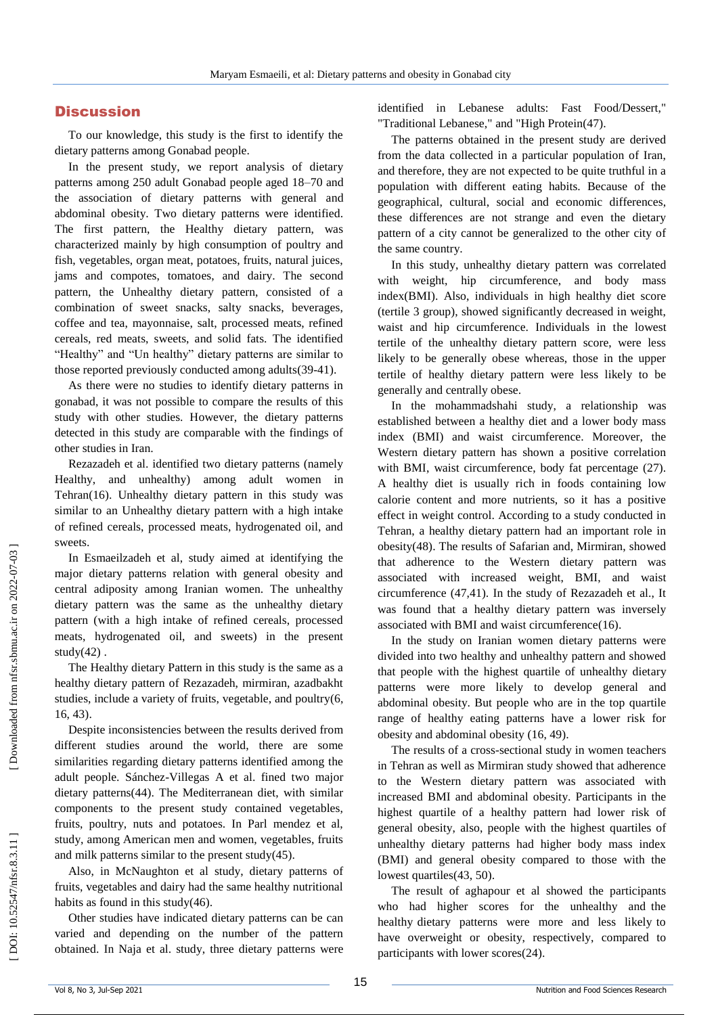## **Discussion**

To our knowledge, this study is the first to identify the dietary patterns among Gonabad people.

In the present study, we report analysis of dietary patterns among 250 adult Gonabad people aged 18 –70 and the association of dietary patterns with general and abdominal obesity. Two dietary patterns were identified. The first pattern, the Healthy dietary pattern, was characterized mainly by high consumption of poultry and fish, vegetables, organ meat, potatoes, fruits, natural juices, jams and compotes, tomatoes, and dairy. The second pattern, the Unhealthy dietary pattern, consisted of a combination of sweet snacks, salty snacks, beverages, coffee and tea, mayonnaise, salt, processed meats, refined cereals, red meats, sweets, and solid fats. The identified "Healthy" and "Un healthy" dietary patterns are similar to those reported previously conducted among adults(39-41).

As there were no studies to identify dietary patterns in gonabad, it was not possible to compare the results of this study with other studies. However, the dietary patterns detected in this study are comparable with the findings of other studies in Iran.

Rezazadeh et al. identified two dietary patterns (namely Healthy, and unhealthy) among adult women in Tehran(16). Unhealthy dietary pattern in this study was similar to an Unhealthy dietary pattern with a high intake of refined cereals, processed meats, hydrogenated oil, and sweets.

In Esmaeilzadeh et al, study aimed at identifying the major dietary patterns relation with general obesity and central adiposity among Iranian women. The unhealthy dietary pattern was the same as the unhealthy dietary pattern (with a high intake of refined cereals, processed meats, hydrogenated oil, and sweets) in the present study(42) .

The Healthy dietary Pattern in this study is the same as a healthy dietary pattern of Rezazadeh, mirmiran, azadbakht studies, include a variety of fruits, vegetable, and poultry(6, 16, 43) .

Despite inconsistencies between the results derived from different studies around the world, there are some similarities regarding dietary patterns identified among the adult people. Sánchez - [Villegas A](https://www.ncbi.nlm.nih.gov/pubmed/?term=S%C3%A1nchez-Villegas%20A%5BAuthor%5D&cauthor=true&cauthor_uid=12571661) et al. fined two major dietary patterns(44). The Mediterranean diet, with similar components to the present study contained vegetables, fruits, poultry, nuts and potatoes. In Parl mendez et al, study, among American men and women, vegetables, fruits and milk patterns similar to the present study(45) .

Also, in McNaughton et al study, dietary patterns of fruits, vegetables and dairy had the same healthy nutritional habits as found in this study(46) .

Other studies have indicated dietary patterns can be can varied and depending on the number of the pattern obtained. In Naja et al. study, three dietary patterns were identified in Lebanese adults: Fast Food/Dessert," "Traditional Lebanese," and "High Protein(47) .

The patterns obtained in the present study are derived from the data collected in a particular population of Iran, and therefore, they are not expected to be quite truthful in a population with different eating habits. Because of the geographical, cultural, social and economic differences, these differences are not strange and even the dietary pattern of a city cannot be generalized to the other city of the same country.

In this study, unhealthy dietary pattern was correlated with weight, hip circumference, and body mass index(BMI). Also, individuals in high healthy diet score (tertile 3 group), showed significantly decreased in weight, waist and hip circumference. Individuals in the lowest tertile of the unhealthy dietary pattern score, were less likely to be generally obese whereas, those in the upper tertile of healthy dietary pattern were less likely to be generally and centrally obese.

In the mohammadshahi study, a relationship was established between a healthy diet and a lower body mass index (BMI) and waist circumference. Moreover, the Western dietary pattern has shown a positive correlation with BMI, waist circumference, body fat percentage (27). A healthy diet is usually rich in foods containing low calorie content and more nutrients, so it has a positive effect in weight control. According to a study conducted in Tehran, a healthy dietary pattern had an important role in obesity(48). The results of Safarian and, Mirmiran, showed that adherence to the Western dietary pattern was associated with increased weight, BMI, and waist circumference (47,41). In the study of Rezazadeh et al., It was found that a healthy dietary pattern was inversely associated with BMI and waist circumference(16) .

In the study on Iranian women dietary patterns were divided into two healthy and unhealthy pattern and showed that people with the highest quartile of unhealthy dietary patterns were more likely to develop general and abdominal obesity. But people who are in the top quartile range of healthy eating patterns have a lower risk for obesity and abdominal obesity (16, 49) .

The results of a cross -sectional study in women teachers in Tehran as well as Mirmiran study showed that adherence to the Western dietary pattern was associated with increased BMI and abdominal obesity. Participants in the highest quartile of a healthy pattern had lower risk of general obesity, also, people with the highest quartiles of unhealthy dietary patterns had higher body mass index (BMI) and general obesity compared to those with the lowest quartiles(43, 50) .

The result of aghapour et al showed the participants who had higher scores for the unhealthy and the healthy dietary patterns were more and less likely to have overweight or obesity, respectively, compared to participants with lower scores(24) .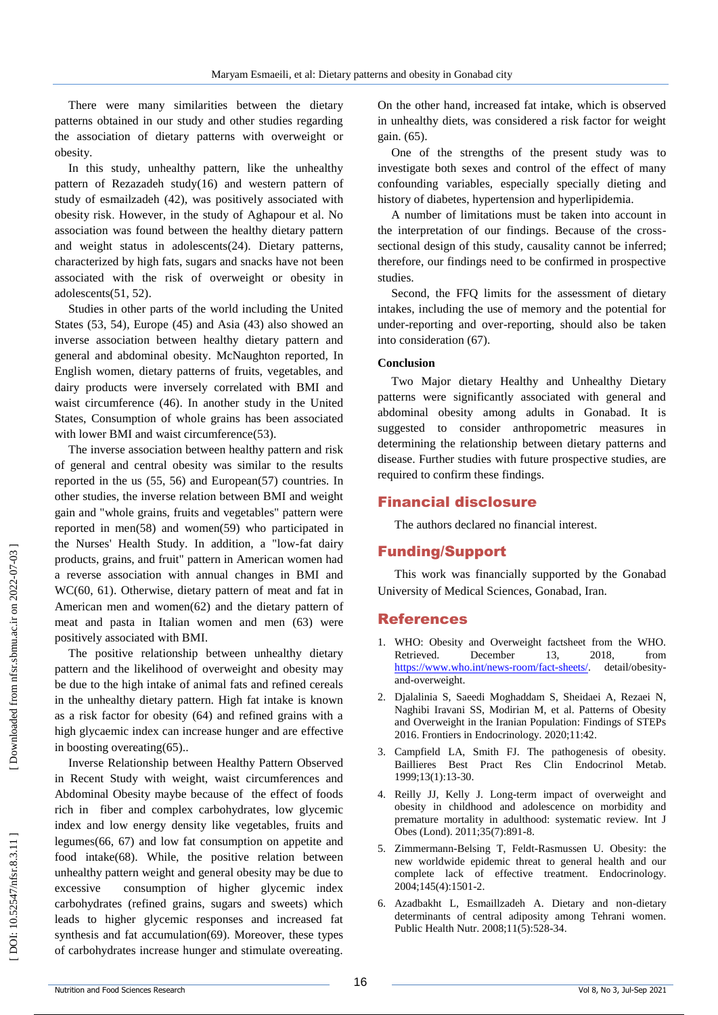There were many similarities between the dietary patterns obtained in our study and other studies regarding the association of dietary patterns with overweight or obesity.

In this study, unhealthy pattern, like the unhealthy pattern of Rezazadeh study (16) and western pattern of study of esmailzadeh (42), was positively associated with obesity risk . However, in the study of Aghapour et al. No association was found between the healthy dietary pattern and weight status in adolescents(24). Dietary patterns, characterized by high fats, sugars and snacks have not been associated with the risk of overweight or obesity in adolescents(51, 52) .

Studies in other parts of the world including the United States (53, 54), Europe (45) and Asia (43) also showed an inverse association between healthy dietary pattern and general and abdominal obesity. McNaughton reported, In English women, dietary patterns of fruits, vegetables, and dairy products were inversely correlated with BMI and waist circumference (46). In another study in the United States, Consumption of whole grains has been associated with lower BMI and waist circumference(53).

The inverse association between healthy pattern and risk of general and central obesity was similar to the results reported in the us (55, 56) and European(57) countries. In other studies, the inverse relation between BMI and weight gain and "whole grains, fruits and vegetables" pattern were reported in men(58) and women(59) who participated in the Nurses' Health Study. In addition, a "low -fat dairy products, grains, and fruit" pattern in American women had a reverse association with annual changes in BMI and WC(60, 61). Otherwise, dietary pattern of meat and fat in American men and women(62) and the dietary pattern of meat and pasta in Italian women and men (63) were positively associated with BMI.

The positive relationship between unhealthy dietary pattern and the likelihood of overweight and obesity may be due to the high intake of animal fats and refined cereals in the unhealthy dietary pattern. High fat intake is known as a risk factor for obesity (64) and refined grains with a high glycaemic index can increase hunger and are effective in boosting overeating(65)..

Inverse Relationship between Healthy Pattern Observed in Recent Study with weight, waist circumferences and Abdominal Obesity maybe because of the effect of foods rich in fiber and complex carbohydrates, low glycemic index and low energy density like vegetables, fruits and legumes(66, 67) and low fat consumption on appetite and food intake(68). While, the positive relation between unhealthy pattern weight and general obesity may be due to excessive consumption of higher glycemic index carbohydrates (refined grains, sugars and sweets) which leads to higher glycemic responses and increased fat synthesis and fat accumulation(69). Moreover, these types of carbohydrates increase hunger and stimulate overeating.

On the other hand, increased fat intake, which is observed in unhealthy diets, was considered a risk factor for weight gain. (65) .

One of the strengths of the present study was to investigate both sexes and control of the effect of many confounding variables, especially specially dieting and history of diabetes, hypertension and hyperlipidemia.

A number of limitations must be taken into account in the interpretation of our findings. Because of the cross sectional design of this study, causality cannot be inferred; therefore, our findings need to be confirmed in prospective studies.

Second, the FFQ limits for the assessment of dietary intakes, including the use of memory and the potential for under -reporting and over -reporting, should also be taken into consideration (67).

#### **Conclusion**

Two Major dietary Healthy and Unhealthy Dietary patterns were significantly associated with general and abdominal obesity among adults in Gonabad. It is suggested to consider anthropometric measures in determining the relationship between dietary patterns and disease. Further studies with future prospective studies, are required to confirm these findings.

#### Financial disclosure

The authors declared no financial interest.

### Funding/Support

This work was financially supported by the Gonabad University of Medical Sciences, Gonabad, Iran.

#### References

- 1. WHO: Obesity and Overweight factsheet from the WHO. Retrieved. December 13, 2018, from [https://www.who.int/news](https://www.who.int/news-room/fact-sheets/) -room/fact -sheets/ detail/obesityand -overweight.
- 2. Djalalinia S, Saeedi Moghaddam S, Sheidaei A, Rezaei N, Naghibi Iravani SS, Modirian M, et al. Patterns of Obesity and Overweight in the Iranian Population: Findings of STEPs 2016. Frontiers in Endocrinology. 2020;11:42.
- 3. Campfield LA, Smith FJ. The pathogenesis of obesity. Baillieres Best Pract Res Clin Endocrinol Metab. 1999;13(1):13 -30.
- 4. Reilly JJ, Kelly J. Long -term impact of overweight and obesity in childhood and adolescence on morbidity and premature mortality in adulthood: systematic review. Int J Obes (Lond). 2011;35(7):891 -8.
- 5. Zimmermann -Belsing T, Feldt -Rasmussen U. Obesity: the new worldwide epidemic threat to general health and our complete lack of effective treatment. Endocrinology. 2004;145(4):1501 -2.
- 6. Azadbakht L, Esmaillzadeh A. Dietary and non -dietary determinants of central adiposity among Tehrani women. Public Health Nutr. 2008;11(5):528 -34.

DOI: 10.52547/nfsr.8.3.11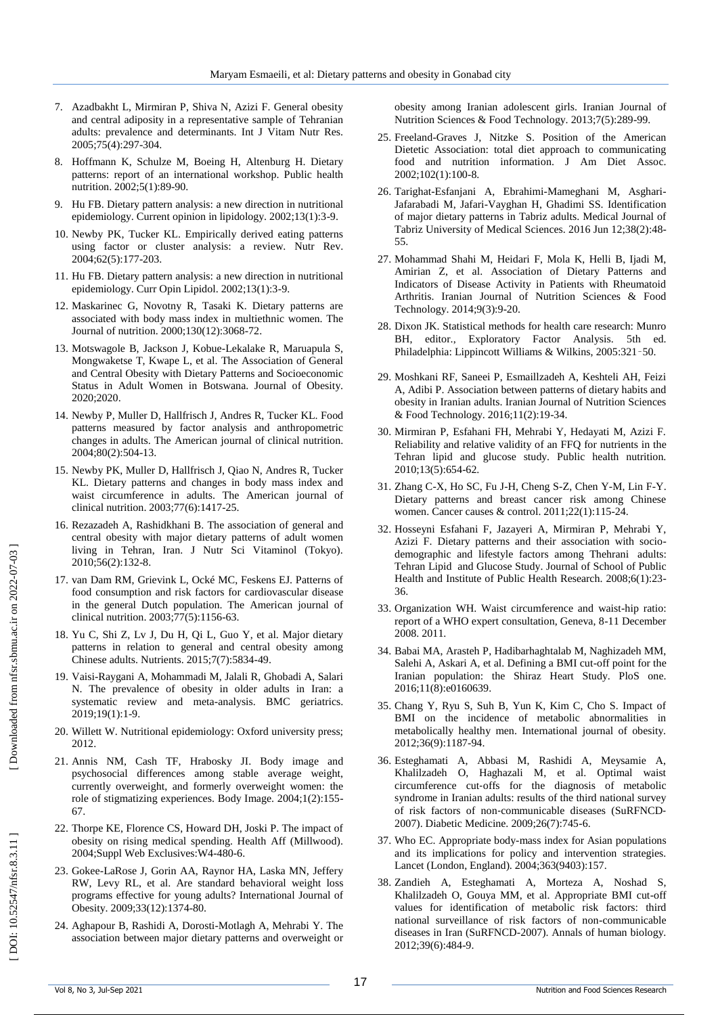- 7. Azadbakht L, Mirmiran P, Shiva N, Azizi F. General obesity and central adiposity in a representative sample of Tehranian adults: prevalence and determinants. Int J Vitam Nutr Res. 2005;75(4):297 -304.
- 8. Hoffmann K, Schulze M, Boeing H, Altenburg H. Dietary patterns: report of an international workshop. Public health nutrition. 2002;5(1):89 -90.
- 9. Hu FB. Dietary pattern analysis: a new direction in nutritional epidemiology. Current opinion in lipidology. 2002;13(1):3 -9.
- 10. Newby PK, Tucker KL. Empirically derived eating patterns using factor or cluster analysis: a review. Nutr Rev. 2004;62(5):177 -203.
- 11. Hu FB. Dietary pattern analysis: a new direction in nutritional epidemiology. Curr Opin Lipidol. 2002;13(1):3 -9.
- 12. Maskarinec G, Novotny R, Tasaki K. Dietary patterns are associated with body mass index in multiethnic women. The Journal of nutrition. 2000;130(12):3068 -72.
- 13. Motswagole B, Jackson J, Kobue -Lekalake R, Maruapula S, Mongwaketse T, Kwape L, et al. The Association of General and Central Obesity with Dietary Patterns and Socioeconomic Status in Adult Women in Botswana. Journal of Obesity. 2020;2020.
- 14. Newby P, Muller D, Hallfrisch J, Andres R, Tucker KL. Food patterns measured by factor analysis and anthropometric changes in adults. The American journal of clinical nutrition. 2004;80(2):504 -13.
- 15. Newby PK, Muller D, Hallfrisch J, Qiao N, Andres R, Tucker KL. Dietary patterns and changes in body mass index and waist circumference in adults. The American journal of clinical nutrition. 2003;77(6):1417 -25.
- 16. Rezazadeh A, Rashidkhani B. The association of general and central obesity with major dietary patterns of adult women living in Tehran, Iran. J Nutr Sci Vitaminol (Tokyo). 2010;56(2):132 -8.
- 17. van Dam RM, Grievink L, Ocké MC, Feskens EJ. Patterns of food consumption and risk factors for cardiovascular disease in the general Dutch population. The American journal of clinical nutrition. 2003;77(5):1156 -63.
- 18. Yu C, Shi Z, Lv J, Du H, Qi L, Guo Y, et al. Major dietary patterns in relation to general and central obesity among Chinese adults. Nutrients. 2015;7(7):5834 -49.
- 19. Vaisi -Raygani A, Mohammadi M, Jalali R, Ghobadi A, Salari N. The prevalence of obesity in older adults in Iran: a systematic review and meta -analysis. BMC geriatrics. 2019;19(1):1 -9.
- 20. Willett W. Nutritional epidemiology: Oxford university press; 2012.
- 21. Annis NM, Cash TF, Hrabosky JI. Body image and psychosocial differences among stable average weight, currently overweight, and formerly overweight women: the role of stigmatizing experiences. Body Image. 2004;1(2):155 - 67.
- 22. Thorpe KE, Florence CS, Howard DH, Joski P. The impact of obesity on rising medical spending. Health Aff (Millwood). 2004;Suppl Web Exclusives:W4 -480 -6.
- 23. Gokee -LaRose J, Gorin AA, Raynor HA, Laska MN, Jeffery RW, Levy RL, et al. Are standard behavioral weight loss programs effective for young adults? International Journal of Obesity. 2009;33(12):1374 -80.
- 24. Aghapour B, Rashidi A, Dorosti -Motlagh A, Mehrabi Y. The association between major dietary patterns and overweight or

obesity among Iranian adolescent girls. Iranian Journal of Nutrition Sciences & Food Technology. 2013;7(5):289 -99.

- 25. Freeland -Graves J, Nitzke S. Position of the American Dietetic Association: total diet approach to communicating food and nutrition information. J Am Diet Assoc. 2002;102(1):100 -8.
- 26. Tarighat -Esfanjani A, Ebrahimi -Mameghani M, Asghari Jafarabadi M, Jafari -Vayghan H, Ghadimi SS. Identification of major dietary patterns in Tabriz adults. Medical Journal of Tabriz University of Medical Sciences. 2016 Jun 12;38(2):48 - 55.
- 27. Mohammad Shahi M, Heidari F, Mola K, Helli B, Ijadi M, Amirian Z, et al. Association of Dietary Patterns and Indicators of Disease Activity in Patients with Rheumatoid Arthritis. Iranian Journal of Nutrition Sciences & Food Technology. 2014;9(3):9 -20.
- 28. Dixon JK. Statistical methods for health care research: Munro BH, editor., Exploratory Factor Analysis. 5th ed. Philadelphia: Lippincott Williams & Wilkins, 2005:321 –50.
- 29. Moshkani RF, Saneei P, Esmaillzadeh A, Keshteli AH, Feizi A, Adibi P. Association between patterns of dietary habits and obesity in Iranian adults. Iranian Journal of Nutrition Sciences & Food Technology. 2016;11(2):19 -34.
- 30. Mirmiran P, Esfahani FH, Mehrabi Y, Hedayati M, Azizi F. Reliability and relative validity of an FFQ for nutrients in the Tehran lipid and glucose study. Public health nutrition. 2010;13(5):654 -62.
- 31. Zhang C -X, Ho SC, Fu J -H, Cheng S -Z, Chen Y -M, Lin F -Y. Dietary patterns and breast cancer risk among Chinese women. Cancer causes & control. 2011;22(1):115 -24.
- 32. Hosseyni Esfahani F, Jazayeri A, Mirmiran P, Mehrabi Y, Azizi F. Dietary patterns and their association with socio demographic and lifestyle factors among Thehrani adults: Tehran Lipid and Glucose Study. Journal of School of Public Health and Institute of Public Health Research. 2008;6(1):23-36.
- 33. Organization WH. Waist circumference and waist -hip ratio: report of a WHO expert consultation, Geneva, 8 -11 December 2008. 2011.
- 34. Babai MA, Arasteh P, Hadibarhaghtalab M, Naghizadeh MM, Salehi A, Askari A, et al. Defining a BMI cut-off point for the Iranian population: the Shiraz Heart Study. PloS one. 2016;11(8):e0160639.
- 35. Chang Y, Ryu S, Suh B, Yun K, Kim C, Cho S. Impact of BMI on the incidence of metabolic abnormalities in metabolically healthy men. International journal of obesity. 2012;36(9):1187 -94.
- 36. Esteghamati A, Abbasi M, Rashidi A, Meysamie A, Khalilzadeh O, Haghazali M, et al. Optimal waist circumference cut ‐offs for the diagnosis of metabolic syndrome in Iranian adults: results of the third national survey of risk factors of non ‐communicable diseases (SuRFNCD ‐ 2007). Diabetic Medicine. 2009;26(7):745 -6.
- 37. Who EC. Appropriate body -mass index for Asian populations and its implications for policy and intervention strategies. Lancet (London, England). 2004;363(9403):157.
- 38. Zandieh A, Esteghamati A, Morteza A, Noshad S, Khalilzadeh O, Gouya MM, et al. Appropriate BMI cut -off values for identification of metabolic risk factors: third national surveillance of risk factors of non -communicable diseases in Iran (SuRFNCD -2007). Annals of human biology. 2012;39(6):484 -9.